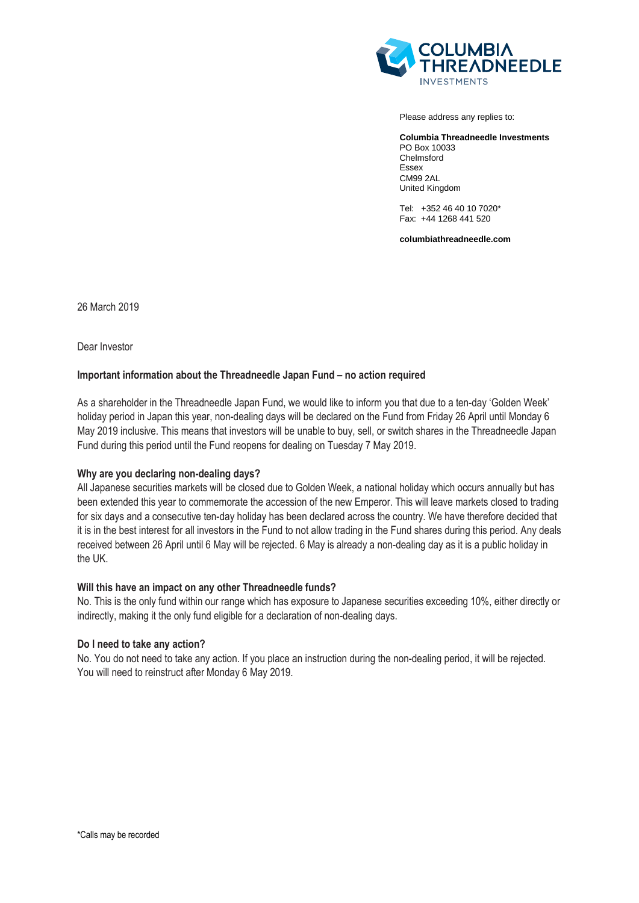

Please address any replies to:

**Columbia Threadneedle Investments** PO Box 10033 Chelmsford Essex CM99 2AL United Kingdom

Tel: +352 46 40 10 7020\* Fax: +44 1268 441 520

**columbiathreadneedle.com**

26 March 2019

Dear Investor

# **Important information about the Threadneedle Japan Fund – no action required**

As a shareholder in the Threadneedle Japan Fund, we would like to inform you that due to a ten-day 'Golden Week' holiday period in Japan this year, non-dealing days will be declared on the Fund from Friday 26 April until Monday 6 May 2019 inclusive. This means that investors will be unable to buy, sell, or switch shares in the Threadneedle Japan Fund during this period until the Fund reopens for dealing on Tuesday 7 May 2019.

### **Why are you declaring non-dealing days?**

All Japanese securities markets will be closed due to Golden Week, a national holiday which occurs annually but has been extended this year to commemorate the accession of the new Emperor. This will leave markets closed to trading for six days and a consecutive ten-day holiday has been declared across the country. We have therefore decided that it is in the best interest for all investors in the Fund to not allow trading in the Fund shares during this period. Any deals received between 26 April until 6 May will be rejected. 6 May is already a non-dealing day as it is a public holiday in the UK.

### **Will this have an impact on any other Threadneedle funds?**

No. This is the only fund within our range which has exposure to Japanese securities exceeding 10%, either directly or indirectly, making it the only fund eligible for a declaration of non-dealing days.

### **Do I need to take any action?**

No. You do not need to take any action. If you place an instruction during the non-dealing period, it will be rejected. You will need to reinstruct after Monday 6 May 2019.